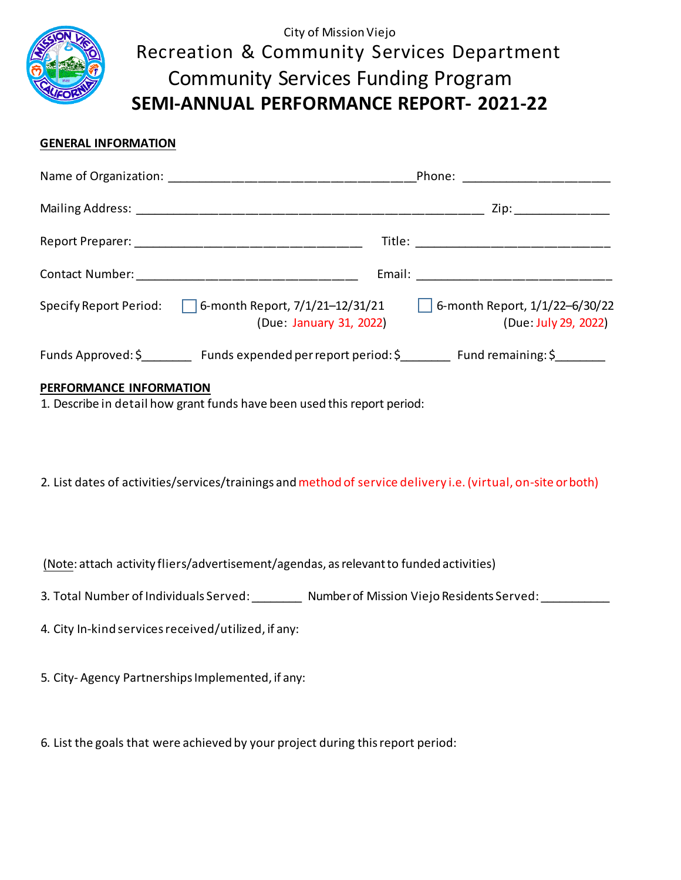

# City of Mission Viejo Recreation & Community Services Department Community Services Funding Program **SEMI-ANNUAL PERFORMANCE REPORT- 2021-22**

# **GENERAL INFORMATION**

|                                                                                          | Zip: ______________                                           |
|------------------------------------------------------------------------------------------|---------------------------------------------------------------|
|                                                                                          | Title: _________________________                              |
|                                                                                          |                                                               |
| Specify Report Period: $\Box$ 6-month Report, 7/1/21-12/31/21<br>(Due: January 31, 2022) | $\Box$ 6-month Report, 1/1/22-6/30/22<br>(Due: July 29, 2022) |
| Funds Approved: \$ Funds expended per report period: \$ Fund remaining: \$               |                                                               |

## **PERFORMANCE INFORMATION**

1. Describe in detail how grant funds have been used this report period:

2. List dates of activities/services/trainings and method of service delivery i.e. (virtual, on-site or both)

(Note: attach activity fliers/advertisement/agendas, as relevantto funded activities)

- 3. Total Number of Individuals Served: \_\_\_\_\_\_\_\_\_ Number of Mission Viejo Residents Served: \_\_\_\_\_\_\_\_
- 4. City In-kind services received/utilized, if any:
- 5. City- Agency Partnerships Implemented, if any:

6. List the goals that were achieved by your project during this report period: